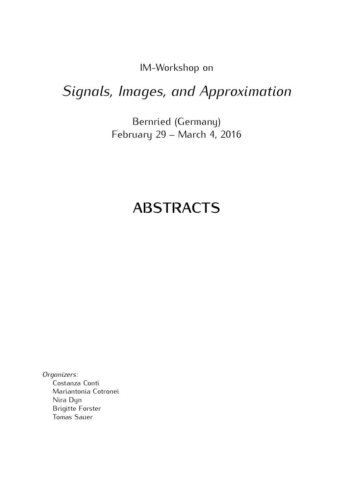IM-Workshop on

# *Signals, Images, and Approximation*

 $B$ ernred (Germany)  $\frac{1}{2}$   $\frac{1}{2}$   $\frac{1}{2}$   $\frac{1}{2}$   $\frac{1}{2}$   $\frac{1}{2}$   $\frac{1}{2}$   $\frac{1}{2}$   $\frac{1}{2}$   $\frac{1}{2}$   $\frac{1}{2}$   $\frac{1}{2}$   $\frac{1}{2}$   $\frac{1}{2}$   $\frac{1}{2}$   $\frac{1}{2}$   $\frac{1}{2}$   $\frac{1}{2}$   $\frac{1}{2}$   $\frac{1}{2}$   $\frac{1}{2}$   $\frac{1}{2}$ 

# **ABSTRACTS**

*Organizers*: Mariantonia Cotronei Nira Dyn **Brigitte Forster** Brigitte Forster<br>Tomas Sauor Tomas Sauer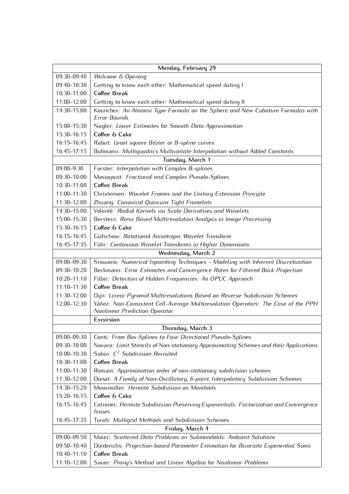| Monday, February 29 |                                                                                                                     |
|---------------------|---------------------------------------------------------------------------------------------------------------------|
| 09:30-09:40         | Welcome & Opening                                                                                                   |
| 09:40-10:30         | Getting to know each other: Mathematical speed dating I                                                             |
| 10:30-11:00         | <b>Coffee Break</b>                                                                                                 |
| 11:00-12:00         | Getting to know each other: Mathematical speed dating II                                                            |
| 14:30-15:00         | Kounchev: An Almansi Type Formula on the Sphere and New Cubature Formulas with                                      |
|                     | <b>Error Bounds</b>                                                                                                 |
| 15:00-15:30         | Nagler: Lower Estimates for Smooth Data Approximation                                                               |
| 15:30-16:15         | Coffee & Cake                                                                                                       |
| 16:15-16:45         | Rabut: Least square Bézier or B-spline curves                                                                       |
| 16:45-17:15         | Buhmann: Multiquadrics Multivariate Interpolation without Added Constants                                           |
| Tuesday, March 1    |                                                                                                                     |
| 09:00-9:30          | Forster: Interpolation with Complex B-splines                                                                       |
| 09:30-10:00         | Massopust: Fractional and Complex Pseudo-Splines                                                                    |
| 10:30-11:00         | <b>Coffee Break</b>                                                                                                 |
| 11:00-11:30         | Christensen: Wavelet Frames and the Unitary Extension Principle                                                     |
| 11:30-12:00         | Zhuang: Canonical Quincunx Tight Framelets                                                                          |
| 14:30-15:00         | Volontè: Radial Kernels via Scale Derivatives and Wavelets                                                          |
| 15:00-15:30         | Berstein: Riesz Based Multiresolution Analysis in Image Processing                                                  |
| 15:30-16:15         | Coffee & Cake                                                                                                       |
| 16:15-16:45         | Gütschow: Rotational Anisotropic Wavelet Transform                                                                  |
| 16:45-17:35         | Führ: Continuous Wavelet Transforms in Higher Dimensions                                                            |
| Wednesday, March 2  |                                                                                                                     |
| 09:00-09:30         | Sissuono: Numerical Inpainting Techniques - Modeling with Inherent Discretization                                   |
| 09:30-10:20         | Beckmann: Error Estimates and Convergence Rates for Filtered Back Projection                                        |
| $10:20 - 11:10$     | Filbir: Detection of Hidden Frequencies: An OPUC Approach                                                           |
| 11:10-11:30         | <b>Coffee Break</b>                                                                                                 |
| 11:30-12:00         | Dyn: Linear Pyramid Multiresolutions Based on Reverse Subdivision Schemes                                           |
| 12:00-12:30         | Yáñez: Non-Consistent Cell-Average Multiresolution Operators: The Case of the PPH                                   |
|                     | <b>Nonlinear Prediction Operator</b>                                                                                |
| Excursion           |                                                                                                                     |
| Thursday, March 3   |                                                                                                                     |
| 09:00-09:30         | Conti: From Box-Splines to Four Directional Pseudo-Splines                                                          |
| 09:30-10:00         | Novara: Limit Stencils of Non-stationary Approximating Schemes and their Applications                               |
| 10:00-10:30         | Sabin: C <sup>2</sup> Subdivision Revisited                                                                         |
| 10:30-11:00         | <b>Coffee Break</b>                                                                                                 |
| 11:00-11:30         | Romani: Approximation order of non-stationary subdivision schemes                                                   |
| 11:30-12:00         | Donat: A Family of Non-Oscillatory, 6-point, Interpolatory Subdivision Schemes                                      |
| 14:30-15:20         | Moosmüller: Hermite Subdivision on Manifolds                                                                        |
| 15:20-16:15         | Coffee & Cake                                                                                                       |
| 16:15-16:45         | Cotronei: Hermite Subdivision Preserving Exponentials: Factorization and Convergence<br><i><u><b>Issues</b></u></i> |
| 16:45-17:35         | Turati: Multigrid Methods and Subdivision Schemes                                                                   |
| Friday, March 4     |                                                                                                                     |
| 09:00-09:50         | Maier: Scattered Data Problems on Submanifolds: Ambient Solutions                                                   |
| 09:50-10:40         | Diederichs: Projection-based Parameter Estimation for Bivariate Exponential Sums                                    |
| 10:40-11:10         | <b>Coffee Break</b>                                                                                                 |
| 11:10-12:00         | Sauer: Prony's Method and Linear Algebra for Nonlinear Problems                                                     |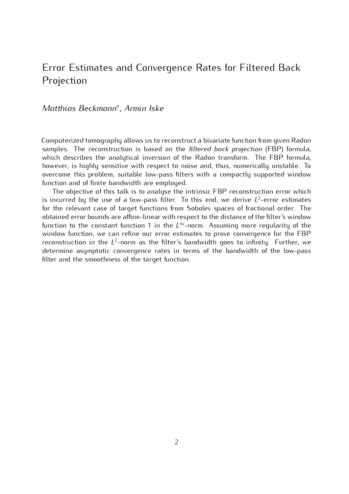## Error Estimates and Convergence Rates for Filtered Back Projection

### *Matthias Beckmann<sup>∗</sup> , Armin Iske*

Computerized tomography allows us to reconstruct a bivariate function from given Radon samples. The reconstruction is based on the *filtered back projection* (FBP) formula, which describes the analytical inversion of the Radon transform. The FBP formula, however, is highly sensitive with respect to noise and, thus, numerically unstable. To overcome this problem, suitable low-pass filters with a compactly supported window function and of finite bandwidth are employed.

The objective of this talk is to analyse the intrinsic FBP reconstruction error which In the objective of this talk is to analyse the intrinsic FBP reconstruction error which<br>is incurred by the use of a low-pass filter. To this end, we derive  $L^2$ -error estimates<br>for the relevant case of target functions for the relevant case of target functions from Sobolev spaces of fractional order. The obtained error bounds are affine-linear with respect to the distance of the filter's window function to the constant function 1 in the  $L^\infty$ -norm. Assuming more regularity of the window function we can refine our error estimates to prove convergence for the FBP window function, we can refine our error estimates to prove convergence for the FBP reconstruction in the  $L^2$ -norm as the filter's bandwidth goes to infinity. Further, we determine assumptatic convergence rates in terms of the bandwidth of the low pass determine asymptotic convergence rates in terms of the bandwidth of the low-pass determine asymptotic convergence rates in terms of the bandwidth of the tow-pass filter and the smoothness of the target function.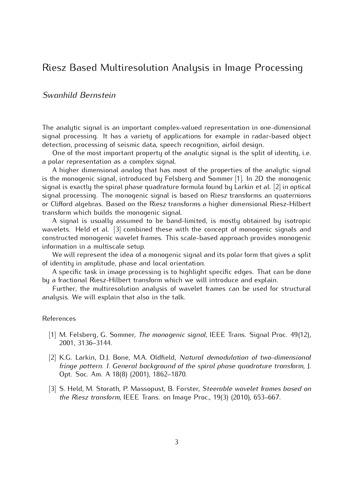### Riesz Based Multiresolution Analysis in Image Processing

#### *Swanhild Bernstein*

The analytic signal is an important complex-valued representation in one-dimensional signal processing. It has a variety of applications for example in radar-based object detection, processing of seismic data, speech recognition, airfoil design.

One of the most important property of the analytic signal is the split of identity, i.e. a polar representation as a complex signal.

A higher dimensional analog that has most of the properties of the analytic signal is the monogenic signal, introduced by Felsberg and Sommer [1]. In 2D the monogenic signal is exactly the spiral phase quadrature formula found by Larkin et al. [2] in optical signal processing. The monogenic signal is based on Riesz transforms an quaternions or Clifford algebras. Based on the Riesz transforms a higher dimensional Riesz-Hilbert transform which builds the monogenic signal.

A signal is usually assumed to be band-limited, is mostly obtained by isotropic wavelets. Held et al.  $[3]$  combined these with the concept of monogenic signals and constructed monogenic wavelet frames. This scale-based approach provides monogenic information in a multiscale setup.

We will represent the idea of a monogenic signal and its polar form that gives a split of identity in amplitude, phase and local orientation.

A specific task in image processing is to highlight specific edges. That can be done by a fractional Riesz-Hilbert transform which we will introduce and explain.

Further, the multiresolution analysis of wavelet frames can be used for structural Further, the multi-socialist analysis of havelet frames can be used for structural<br>Jusis Mo will ovalain that also in the talk analysis. We will explain that also in the talk.

## References

- [1] M. Felsberg, G. Sommer, *The monogenic signal,* IEEE Trans. Signal Proc. 49(12), 2001, 3136–3144.
- [2] K.G. Larkin, D.J. Bone, M.A. Oldfield, *Natural demodulation of two-dimensional fringe pattern. I. General background of the spiral phase quadrature transform*, J. Opt. Soc. Am. A 18(8) (2001), 1862–1870.
- [3] S. Held, M. Storath, P. Massopust, B. Forster, *Steerable wavelet frames based on the Riesz transform,* IEEE Trans. on Image Proc., 19(3) (2010), 653–667.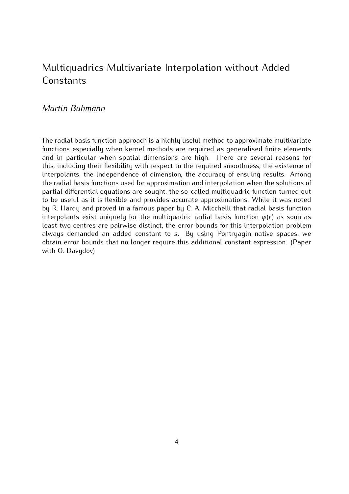# Multiquadrics Multivariate Interpolation without Added Constants

#### *Martin Buhmann*

The radial basis function approach is a highly useful method to approximate multivariate and in particular when spatial dimensions are high. There are several reasons for this, including their flexibility with respect to the required smoothness, the existence of interpolants, the independence of dimension, the accuracy of ensuing results. Among the radial basis functions used for approximation and interpolation when the solutions of partial differential equations are sought, the so-called multiquadric function turned out to be useful as it is flexible and provides accurate approximations. While it was noted by R. Hardy and proved in a famous paper by C. A. Micchelli that radial basis function  $\frac{1}{2}$  R. Hardy and proved in a famous paper by C. A. Micchelli that radial basis function<br>interpolants exist uniquely for the multiquadric radial basis function  $\varphi(r)$  as soon as least two centres are pairwise distinct, the error bounds for this interpolation problem always demanded an added constant to *<sup>s</sup>*. By using Pontryagin native spaces, we obtain error bounds that no longer require this additional constant expression. (Paper with O. Davydov)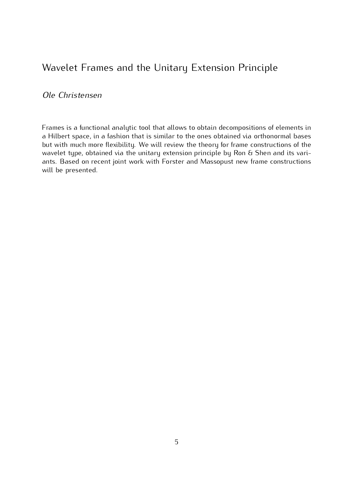## Wavelet Frames and the Unitary Extension Principle

### *Ole Christensen*

Frames is a functional analytic tool that allows to obtain decompositions of elements in but with much more flexibility. We will review the theory for frame constructions of the wavelet type, obtained via the unitary extension principle by Ron & Shen and its variwavelet type, obtained via the unitary extension principle by Non & Shen and its variants. Based on recent joint work with Forster and Massopust new frame constructions will be presented.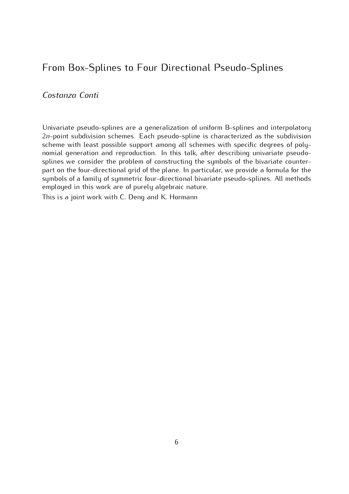## From Box-Splines to Four Directional Pseudo-Splines

*Costanza Conti*

Univariate pseudo-splines are a generalization of uniform B-splines and interpolatory <sup>2</sup>*n*-point subdivision schemes. Each pseudo-spline is characterized as the subdivision scheme with least possible support among all schemes with specific degrees of poly-<br>nomial generation and reproduction. In this talk, after describing univariate pseudosplines we consider the problem of constructing the symbols of the bivariate counterpart on the four-directional grid of the plane. In particular, we provide a formula for the symbols of a family of symmetric four-directional bivariate pseudo-splines. All methods emploued in this work are of purely algebraic nature. employed in this work are of purely algebraic nature.

This is a joint none with C. Deng and K. Hormann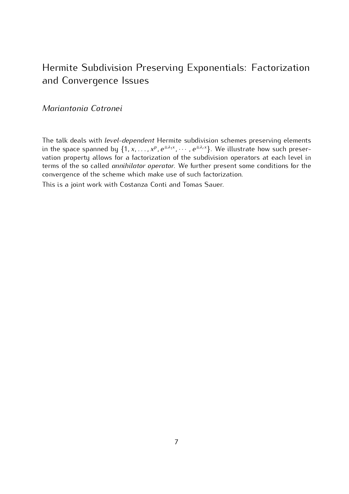## Hermite Subdivision Preserving Exponentials: Factorization and Convergence Issues

### *Mariantonia Cotronei*

The talk deals with *level-dependent* Hermite subdivision schemes preserving elements in the space spanned by  $\{1, x, \ldots, x^p, e^{\pm \lambda_1 x}, \cdots, e^{\pm \lambda_r x}\}$ . We illustrate how such preser-<br>vation proporty allows for a factorization of the subdivision operators at each lovel in vation property allows for a factorization of the subdivision operators at each level in terms of the so called *annihilator operator*. We further present some conditions for the convergence of the scheme which make use of such factorization.

This is a joint work with Costanza Conti and Tomas Sauer.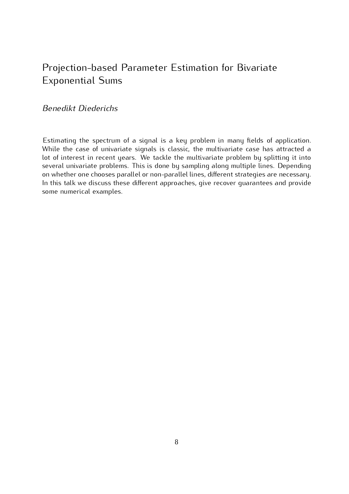## Projection-based Parameter Estimation for Bivariate Exponential Sums

### *Benedikt Diederichs*

Estimating the spectrum of a signal is a key problem in many fields of application.<br>While the case of univariate signals is classic, the multivariate case has attracted a lot of interest in recent years. We tackle the multivariate problem by splitting it into several univariate problems. This is done by sampling along multiple lines. Depending on whether one chooses parallel or non-parallel lines, different strategies are necessary. on whether one chooses parallel or non-parallel lines, different strategies are necessary. In this talk we discuss these different approaches, give recover guarantees and provide<br>como numerical examples some numerical examples.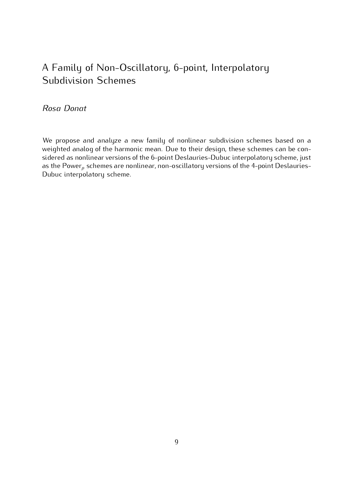# A Family of Non-Oscillatory, 6-point, Interpolatory Subdivision Schemes

### *Rosa Donat*

We propose and analyze a new family of nonlinear subdivision schemes based on a weighted analog of the harmonic mean. Due to their design, these schemes can be considered as nonlinear versions of the 6-point Deslauries-Dubuc interpolatory scheme, just sidered as nonlinear versions of the 6-point Bestaances-Basac interpolatory scheme, just<br>as the Power, schemes are nonlinear, non-oscillatory versions of the 4-point Declauries as the Power*<sup>p</sup>* schemes are nonlinear, non-oscillatory versions of the 4-point Deslauries-Dubuc interpolatory scheme.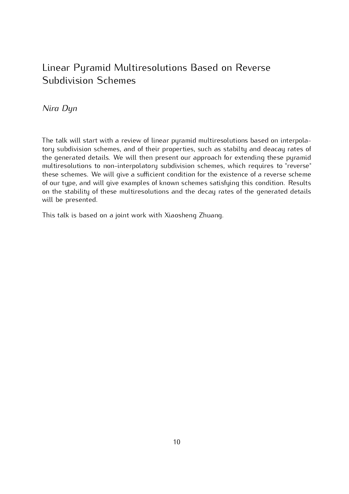# Linear Pyramid Multiresolutions Based on Reverse Subdivision Schemes

### *Nira Dyn*

The talk will start with a review of linear pyramid multiresolutions based on interpola-<br>tory subdivision schemes, and of their properties, such as stabilty and deacay rates of the generated details. We will then present our approach for extending these pyramid multiresolutions to non-interpolatory subdivision schemes, which requires to "reverse" these schemes. We will give a sufficient condition for the existence of a reverse scheme of our type, and will give examples of known schemes satisfying this condition. Results of our type, and this give examples of hitems sensitives satisfying this condition. Results on the stability of these matter esotations and the decay rates of the generated details will be presented.

This talk is based on a joint work with Xiaosheng Zhuang.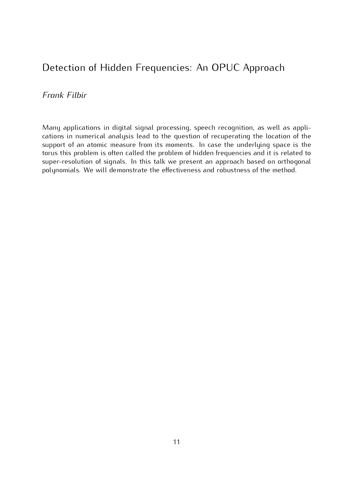## Detection of Hidden Frequencies: An OPUC Approach

*Frank Filbir*

Many applications in digital signal processing, speech recognition, as well as applications in numerical analysis lead to the question of recuperating the location of the support of an atomic measure from its moments. In case the underlying space is the torus this problem is often called the problem of hidden frequencies and it is related to super-resolution of signals. In this talk we present an approach based on orthogonal super-resolution of signals. In this talk we present an approach based on orthogonal polynomials. We will demonstrate the effectiveness and robustness of the method.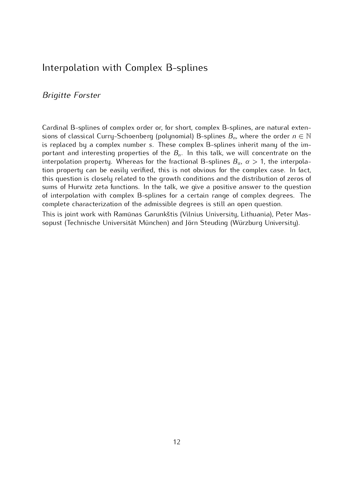### Interpolation with Complex B-splines

#### *Brigitte Forster*

Surfamer B-splines of complex order or, for short, complex B-splines, are natural exten-<br>sions of classical Curry-Schoenberg (polynomial) B-splines  $B_n$ , where the order  $n \in \mathbb{N}$ <br>is replaced by a complex pumber  $\epsilon$ . T is replaced by a complex number *<sup>s</sup>*. These complex B-splines inherit many of the important and interesting properties of the *<sup>B</sup><sup>n</sup>*. In this talk, we will concentrate on the interpolation property. Whereas for the fractional B-splines  $B_{\alpha}$ ,  $\alpha > 1$ , the interpolation property can be easily verified, this is not obvious for the complex case. In fact, this question is closely related to the growth conditions and the distribution of zeros of sums of Hurwitz zeta functions. In the talk, we give a positive answer to the question of interpolation with complex B-splines for a certain range of complex degrees. The complete characterization of the admissible degrees is still an open question.

This is joint work with Ramūnas Garunkštis (Vilnius University, Lithuania), Peter Mas-This is joint work with Ramando Garunkstis (Vilnius Griffordy, Lithuania), Peter Mas-<br>conuct (Tochniccho Universität Münchon) and Jörn Stouding (Würzburg University) sopust (Technische Universität München) and Jörn Steuding (Würzburg University).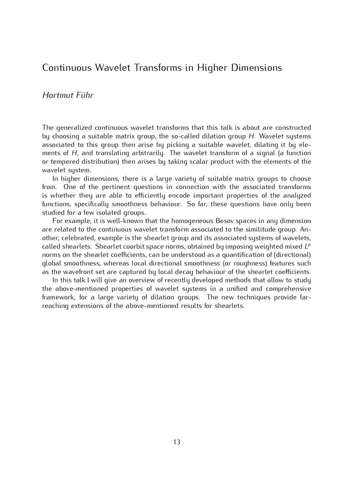### Continuous Wavelet Transforms in Higher Dimensions

#### *Hartmut Führ*

The generalized continuous matricle transforms that this talk is about are constructed<br>by choosing a suitable matrix group, the so-called dilation group *H*. Wavelet systems associated to this group then arise by picking a suitable material, alleading it by ele-<br>ments of *H*, and translating arbitrarily. The wavelet transform of a signal (a function<br>or tempered distribution) then arises by tak or tempered distribution) then arises by taking scalar product with the elements of the

In higher dimensions, there is a large variety of suitable matrix groups to choose from. One of the pertinent questions in connection with the associated transforms is whether they are able to efficiently encode important properties of the analyzed functions, specifically smoothness behaviour. So far, these questions have only been studied for a few isolated groups.

For example, it is well-known that the homogeneous Besov spaces in any dimension are related to the continuous wavelet transform associated to the similitude group. Another, celebrated, example is the shearlet group and its associated systems of wavelets, other, celebrated, example to the shearter group and its associated systems of narroters,<br>called shearlets. Shearlet coorbit space norms, obtained by imposing weighted mixed *LP*<br>porms on the shearlet coofficients, can be norms on the shearlet coefficients, can be understood as a quantification of (directional) as the wavefront set are captured by local decay behaviour of the shearlet coefficients.

In this talk I will give an overview of recently developed methods that allow to study the above-mentioned properties of wavelet systems in a unified and comprehensive framework, for a large variety of dilation groups. The new techniques provide farframework, for a large variety of allation groups. The new techniques provide farreaching extensions of the above-mentioned results for shearlets.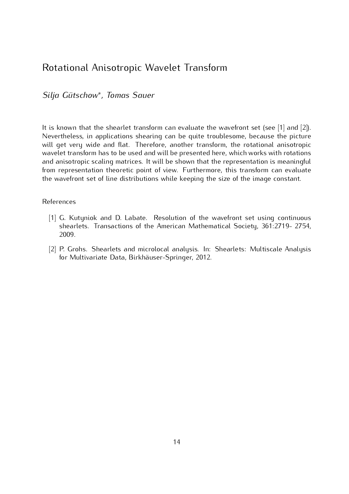## Rotational Anisotropic Wavelet Transform

*Silja Gütschow<sup>∗</sup> , Tomas Sauer*

It is known that the shearlet transform can evaluate the wavefront set (see [1] and [2]).<br>Nevertheless, in applications shearing can be quite troublesome, because the picture will get very wide and flat. Therefore, another transform, the rotational anisotropic wavelet transform has to be used and will be presented here, which works with rotations and anisotropic scaling matrices. It will be shown that the representation is meaningful from representation theoretic point of view. Furthermore, this transform can evaluate from representation theoretic point of view. Furthermore, this transform can evaluate the wavefront set of line distributions while keeping the size of the image constant.

## References

- Experience and D. Labate. Resolution of the material Society 361.7710 2754 shearlets. Transactions of the American Mathematical Society, 361:2719- 2754,  $2000$
- [2] P. Grohs. Shearlets and microlocal analysis. In: Shearlets: Multiscale Analysis for Multivariate Data, Birkhäuser-Springer, 2012.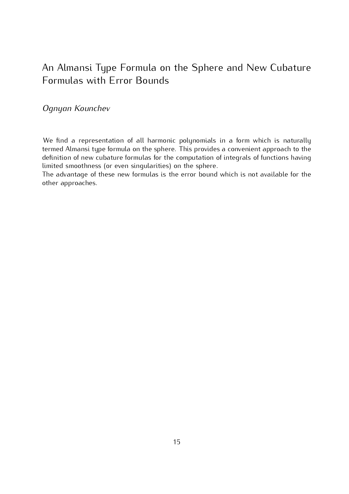# An Almansi Type Formula on the Sphere and New Cubature<br>Formulas with Error Bounds Formulas with Error Bounds

### *Ognyan Kounchev*

We find a representation of all harmonic polynomials in a form which is naturally termed Almansi type formula on the sphere. This provides a convenient approach to the definition of new cubature formulas for the computation of integrals of functions having limited smoothness (or even singularities) on the sphere.

limited smoothness (or even singularities) on the sphere. The advantage of these new formulas is the error bound which is not available for the other approaches.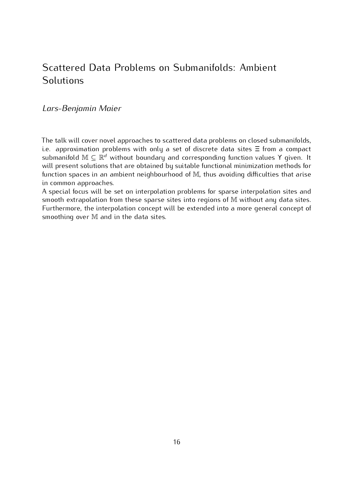## Scattered Data Problems on Submanifolds: Ambient Solutions

#### *Lars-Benjamin Maier*

The talk will cover novel approaches to scattered data problems on closed submanifolds, i.e. approximation problems with only a set of discrete data sites  $\Xi$  from a compact **Example 1.0** approximation problems with only a set of discrete data sites Ξ from a compact submanifold M *⊆* R<sup>d</sup> without boundary and corresponding function values Y given. It will present solutions that are obtained by suitable functional minimization methods for will present solutions that are obtained by suitable functional minimization methods for<br>function spaces in an ambient neighbourhood of M, thus avoiding difficulties that arise in common approaches.<br>A special focus will be set on interpolation problems for sparse interpolation sites and

A special focus will be set on interpolation problems for sparse interpolation sites and<br>smooth extrapolation from these sparse sites into regions of M without any data sites. Furthermore, the interpolation concept will be extended into a more general concept of smoothing over M and in the data sites.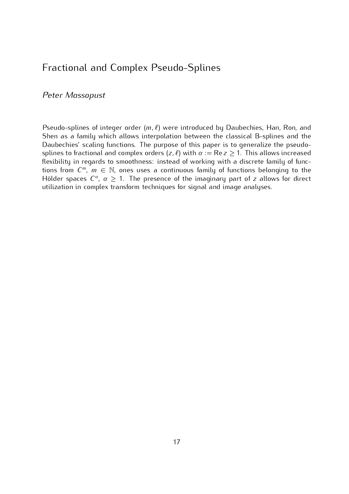## Fractional and Complex Pseudo-Splines

#### *Peter Massopust*

Pseudo-splines of integer order  $(m, \ell)$  were introduced by Daubechies, Han, Ron, and<br>Shen as a family which allows interpolation between the classical B-splines and the Daubechies' scaling functions. The purpose of this paper is to generalize the pseudosplines to fractional and complex orders  $(z, \ell)$  with  $\alpha := \text{Re } z \ge 1$ . This allows increased floxibility in regards to smoothnoss: instead of working with a discrete family of functional flexibility in regards to smoothness: instead of forming with a discrete family of func-<br>tions from *C*<sup>*m*</sup>, *m*  $\in$  N, ones uses a continuous family of functions belonging to the Hölder spaces  $C^{\alpha}$ ,  $\alpha \geq 1$ . The presence of the imaginary part of *z* allows for direct utilization in complex transform techniques for signal and image analyses.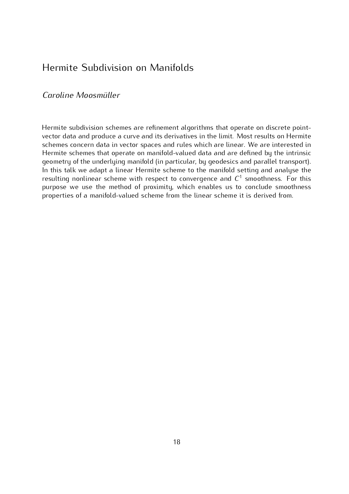# Hermite Subdivision on Manifolds

#### *Caroline Moosmüller*

Hermite subdivision schemes are refinement algorithms that operate on discrete point-<br>vector data and produce a curve and its derivatives in the limit. Most results on Hermite schemes concern data in vector spaces and rules which are linear. We are interested in Hermite schemes that operate on manifold-valued data and are defined by the intrinsic geometry of the underlying manifold (in particular, by geodesics and parallel transport). In this talk we adapt a linear Hermite scheme to the manifold setting and analyse the In this talk we dadpt a linear Hermite scheme to the manifold setting and analyse the resulting nonlinear scheme with respect to convergence and  $C<sup>1</sup>$  smoothness. For this purpose we use the method of proximity, which enables us to conclude smoothness purpose we use the method of proximity, which enables us to conclude smoothness properties of a manifold-valued scheme from the linear scheme it is derived from.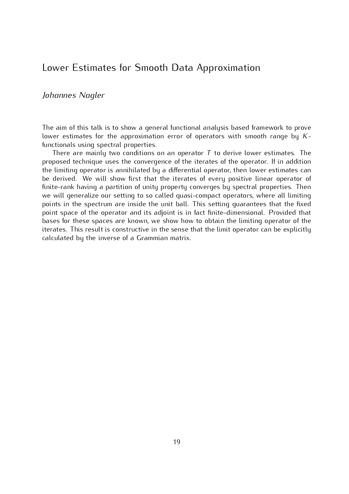### Lower Estimates for Smooth Data Approximation

#### *Johannes Nagler*

The aim of this talk is to show a general functional analysis based framework to prove lower estimates for the approximation error of operators with smooth range by *<sup>K</sup>*-

There are mainly two conditions on an operator  $T$  to derive lower estimates. The proposed to believe uses the convergence of the iterates of the energies. If in addition proposed technique uses the convergence of the iterates of the operator. If in addition<br>the limiting operator is annihilated by a differential operator, then lower estimates can be derived. We will show first that the iterates of every positive linear operator of finite-rank having a partition of unity property converges by spectral properties. Then we will generalize our setting to so called quasi-compact operators, where all limiting points in the spectrum are inside the unit ball. This setting quarantees that the fixed point space of the operator and its adjoint is in fact finite-dimensional. Provided that bases for these spaces are known, we show how to obtain the limiting operator of the iterates. This result is constructive in the sense that the limit operator can be explicitly iterates. This result is constructive in the sense that the limit operator can be explicitly calculated by the inverse of a Grammian matrix.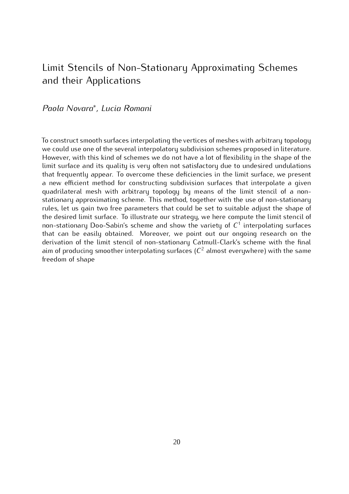## Limit Stencils of Non-Stationary Approximating Schemes and their Applications

### *Paola Novara<sup>∗</sup> , Lucia Romani*

To construct smooth surfaces interpolating the vertices of meshes with arbitrary topology However, with this kind of schemes we do not have a lot of flexibility in the shape of the limit surface and its quality is very often not satisfactory due to undesired undulations that frequently appear. To overcome these deficiencies in the limit surface, we present a new efficient method for constructing subdivision surfaces that interpolate a given quadrilateral mesh with arbitrary topology by means of the limit stencil of a nonstationary approximating scheme. This method, together with the use of non-stationary rules, let us gain two free parameters that could be set to suitable adjust the shape of the desired limit surface. To illustrate our strategy, we here compute the limit stencil of the decirca limit surface. To interface our strategy, we here compute the limit stencil of  $\alpha$ <br>non-stationary Doo-Sabin's scheme and show the variety of  $C<sup>1</sup>$  interpolating surfaces that can be easily obtained. Moreover, we point out our ongoing research on the derivation of the limit stencil of non-stationary Catmull-Clark's scheme with the final aim of producing smoother interpolating surfaces  $(C^2$  almost everywhere) with the same<br>freedom of shape freedom of shape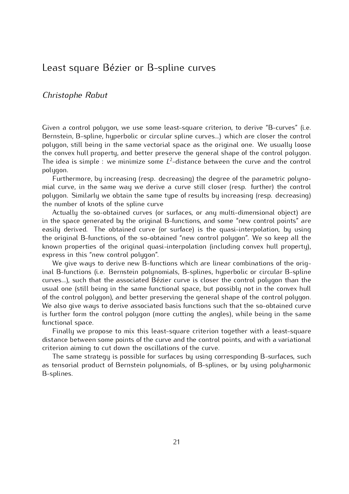### Least square Bézier or B-spline curves

#### *Christophe Rabut*

Given a control polygon, we use some least-square criterion, to derive "B-curves" (i.e.<br>Bernstein, B-spline, hyperbolic or circular spline curves...) which are closer the control polygon, still being in the same vectorial space as the original one. We usually loose the convex hull property, and better preserve the general shape of the control polygon. The idea is simple : we minimize some  $L^2$ -distance between the curve and the control polygon. polygon.<br>-Furthermore, by increasing (resp. decreasing) the degree of the parametric polyno

mial curve, in the same way we derive a curve still closer (resp. further) the control polygon. Similarly we obtain the same type of results by increasing (resp. decreasing) the number of knots of the spline curve

Actually the so-obtained curves (or surfaces, or any multi-dimensional object) are in the space generated by the original B-functions, and some "new control points" are easily derived. The obtained curve (or surface) is the quasi-interpolation, by using the original B-functions, of the so-obtained "new control polygon". We so keep all the the original B-functions, of the so-obtained "new control polygon". We so keep all the known properties of the original quasi-interpolation (including comex hull property), express in this "new control polygon".<br>We give ways to derive new B-functions which are linear combinations of the orig-

inal B-functions (i.e. Bernstein polynomials, B-splines, hyperbolic or circular B-spline curves...), such that the associated Bézier curve is closer the control polygon than the usual one (still being in the same functional space, but possibly not in the convex hull of the control polygon), and better preserving the general shape of the control polygon. We also give ways to derive associated basis functions such that the so-obtained curve we also give ways to derive associated basis functions such that the so-obtained curve is further form the control polygon (more cutting the angles), while being in the same functional space.<br>Finally we propose to mix this least-square criterion together with a least-square

distance between some points of the curve and the control points, and with a variational criterion aiming to cut down the oscillations of the curve.

The same strategu is possible for surfaces by using corresponding B-surfaces, such The same strategy is possible for surfaces by using corresponding B-surfaces, such as tensorial product of Bernstein polynomials, of B-splines, or by using polyharmonic B-splines.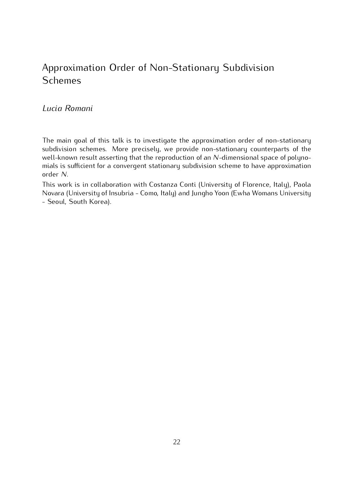# Approximation Order of Non-Stationary Subdivision Schemes

#### *Lucia Romani*

The main goal of this talk is to investigate the approximation order of non-stationary subdivision schemes. More precisely, we provide non-stationary counterparts of the subdivision schemes. There precisely, we prefixe hen stationary scance parts of the<br>well-known result asserting that the reproduction of an *N*-dimensional space of polyno-<br>mials is sufficient for a convergent stationary s mials is sufficient for a convergent stationary subdivision scheme to have approximation order *N*.<br>This work is in collaboration with Costanza Conti (University of Florence, Italy), Paola

This work is in collaboration with Costanza Conti (Chinerolly of Florence, Italy), Paola<br>November (University of Insubria - Como Italy) and Jungbo Yoon (Ewba Womans University Novara (University of Insubria - Como, Italy) and Jungho Yoon (Ewha Womans University - Seoul, South Korea).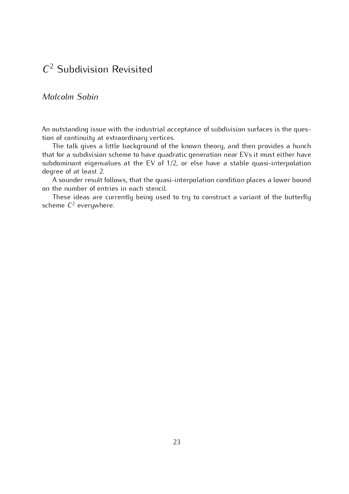# *C* <sup>2</sup> Subdivision Revisited

#### *Malcolm Sabin*

An outstanding issue with the industrial acceptance of subdivision surfaces is the ques-<br>tion of continuity at extraordinary vertices.

The talk gives a little background of the known theory, and then provides a hunch that for a subdivision scheme to have quadratic generation near EVs it must either have that for a subdivision scheme to have quadratic generation near EV of must either have<br>subdominant eigenvalues at the EV of 1/2, or else have a stable quasi-interpolation

degree of at least 2. A sounder result follows, that the quasi-interpolation condition places a lower bound<br>the number of entries in each stensil

on the number of entries in each stencil. These ideas are currently being used to try to construct a variant of the butterfly scheme *<sup>C</sup>* <sup>2</sup> everywhere.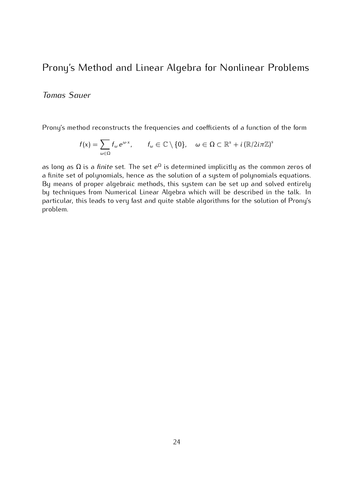## Prony's Method and Linear Algebra for Nonlinear Problems

### *Tomas Sauer*

Prony's method reconstructs the frequencies and coefficients of a function of the form

$$
f(x) = \sum_{\omega \in \Omega} f_{\omega} e^{\omega \cdot x}, \qquad f_{\omega} \in \mathbb{C} \setminus \{0\}, \quad \omega \in \Omega \subset \mathbb{R}^s + i (\mathbb{R}/2i\pi\mathbb{Z})^s
$$

as long as  $\Omega$  is a *finite* set. The set  $e^{\Omega}$  is determined implicitly as the common zeros of a finite set of polynomials, hence as the solution of a system of polynomials equations. By means of proper algebraic methods, this system can be set up and solved entirely by techniques from Numerical Linear Algebra which will be described in the talk. In by techniques from Numerical Linear Algebra which will be described in the talk. In particular, this leads to very fast and quite stable algorithms for the solution of Prony's problem.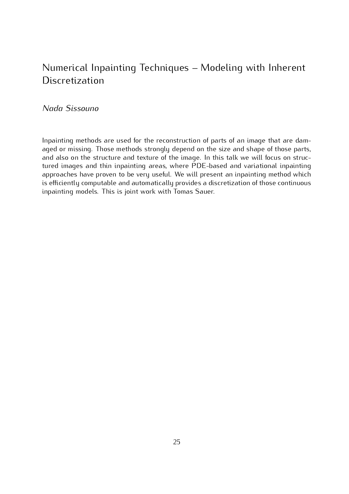# Numerical Inpainting Techniques – Modeling with Inherent  $\overline{D}$  to the streament

*Nada Sissouno*

Inpainting methods are used for the reconstruction of parts of an image that are dam-<br>aged or missing. Those methods strongly depend on the size and shape of those parts, and also on the structure and texture of the image. In this talk we will focus on structured images and thin inpainting areas, where PDE-based and variational inpainting approaches have proven to be very useful. We will present an inpainting method which is efficiently computable and automatically provides a discretization of those continuous is efficiently computable and automatically provides a discretization of these continuous inpainting models. This is joint work with Tomas Sauer.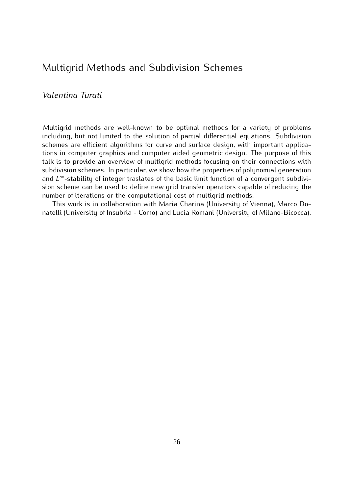## Multigrid Methods and Subdivision Schemes

#### *Valentina Turati*

Multigrid methods are well-known to be optimal methods for a variety of problems including, but not limited to the solution of partial differential equations. Subdivision schemes are efficient algorithms for curve and surface design, with important applications in computer graphics and computer aided geometric design. The purpose of this talk is to provide an overview of multigrid methods focusing on their connections with subdivision schemes. In particular, we show how the properties of polynomial generation subdivision schemes. In particular, we show how the properties of polynomial generation<br>and *L*∞-stability of integer traslates of the basic limit function of a convergent subdivi-<br>sion schome can be used to define now gr sion scheme can be used to define new grid transfer operators capable of reducing the number of iterations or the computational cost of multiqrid methods.

This work is in collaboration with Maria Charina (University of Vienna), Marco Do-This work is in collaboration with Maria Charina (Chinerolly of Nehma), Marco Donatelli (University of Insubria - Como) and Lucia Romani (University of Milano-Bicocca).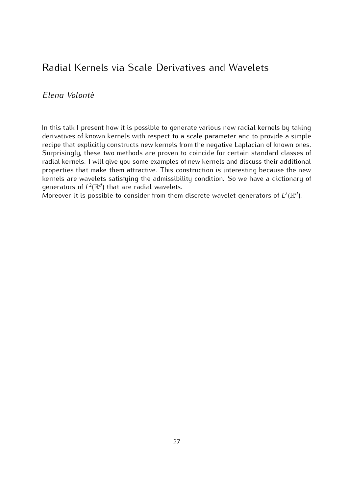## Radial Kernels via Scale Derivatives and Wavelets

### *Elena Volontè*

In this talk I present how it is possible to generate various new radial kernels by taking derivatives of known kernels with respect to a scale parameter and to provide a simple recipe that explicitly constructs new kernels from the negative Laplacian of known ones. Surprisingly, these two methods are proven to coincide for certain standard classes of radial kernels. I will give you some examples of new kernels and discuss their additional properties that make them attractive. This construction is interesting because the new kernels are wavelets satisfying the admissibility condition. So we have a dictionary of denerators of  $L^2(\mathbb{R}^d)$  that are radial wavelets.<br>Mercover it is possible to consider from them discrete wavelet generators of  $L^2(\mathbb{R}^d)$ 

Moreover it is possible to consider from them discrete wavelet generators of  $L^2(\mathbb{R}^d)$ ).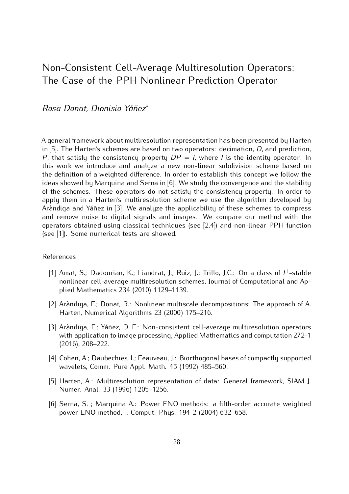## Non-Consistent Cell-Average Multiresolution Operators: The case of the PPH Nontinear Prediction Operator

#### *Rosa Donat, Dionisio Yáñez<sup>∗</sup>*

in [5]. The Harten's schemes are based on two operators: decimation, *D*, and prediction, *P*, that satisfy the sopsistency preparty.  $DP = L$  where *L* is the identity enerator. In *P*, that satisfy the consistency property  $DP = I$ , where *I* is the identity operator. In this work we introduce and analyze a new non-linear subdivision scheme based on the definition of a weighted difference. In order to establish this concept we follow the ideas showed by Marguina and Serna in [6]. We study the convergence and the stability of the schemes. These operators do not satisfy the consistency property. In order to apply them in a Harten's multiresolution scheme we use the algorithm developed by Aràndiga and Yáñez in [3]. We analyze the applicability of these schemes to compress and remove noise to digital signals and images. We compare our method with the operators obtained using classical techniques (see  $[2,4]$ ) and non-linear PPH function operators obtained using classical techniques (see [2,4]) and non-linear PPH function  $\left( \begin{matrix} 1 & 0 & 0 \\ 0 & 0 & 1 \end{matrix} \right)$ . Some numerical tests are showed.

## References

- [1] Amat, S.; Dadourian, K.; Liandrat, J.; Ruiz, J.; Trillo, J.C.: On a class of *<sup>L</sup>* 1 nonlinear cell-average multiresolution schemes, Journal of Computational and Apnonlinear cell-average maltiresolution schemes, Journal of Computational and Ap-<br>plied-Mathematics 234 (2010) 1120-1130 plied Mathematics 234 (2010) 1129–1139.
- [2] Aràndiga, F.; Donat, R.: Nonlinear multiscale decompositions: The approach of A.  $H_{\text{eff}}$  and  $H_{\text{eff}}$  are  $H_{\text{eff}}$  and  $H_{\text{eff}}$  are  $\frac{1}{2}$ .
- [3] Aràndiga, F.; Yáñez, D. F.: Non-consistent cell-average multiresolution operators with application to image processing, Applied Mathematics and computation 272-1.<br>(2016) -208-222 (2016), 208–222.
- [4] Cohen, A.; Daubechies, I.; Feauveau, J.: Biorthogonal bases of compactly supported  $M$  are also positive and Apple. Math. 45 (1992) 485–560.
- [5] Harten, A.: Multiresolution representation of data: General framework, SIAM J. Numer. Anal. 33 (1996) 1205–1256.
- [6] Serna, S. ; Marquina A.: Power ENO methods: a fifth-order accurate weighted  $p^{\text{succ}}$  ENG method, J. Comput. Phys. 194 $=$  (2004) 632–658.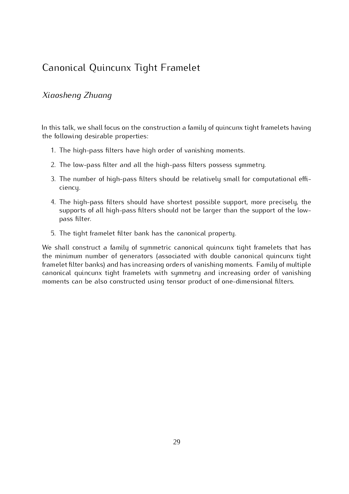## Canonical Quincunx Tight Framelet

#### *Xiaosheng Zhuang*

In this talk, we shall focus on the construction a family of quinculik tight framelets having the following desirable properties:

- 1. The high-pass filters have high order of vanishing moments.
- 2. The low-pass filter and all the high-pass filters possess symmetry.
- 3. The number of high-pass filters should be relatively small for computational efficiency.
- the high-pass filters should have shortest possible support, more precisely, the supports of all high-pass filters should not be larger than the support of the low-<br>nace filter pass filter.
- 5. The tight framelet filter bank has the canonical property.

We shall construct a family of symmetric canonical quincunx tight framelets that has the minimum number of generators (associated with double canonical quincunx tight framelet filter banks) and has increasing orders of vanishing moments. Family of multiple canonical quincunx tight framelets with symmetry and increasing order of vanishing canonical quincum tight framelete with symmetry and increasing order of rameling moments can be also constructed using tensor product of one-dimensional filters.